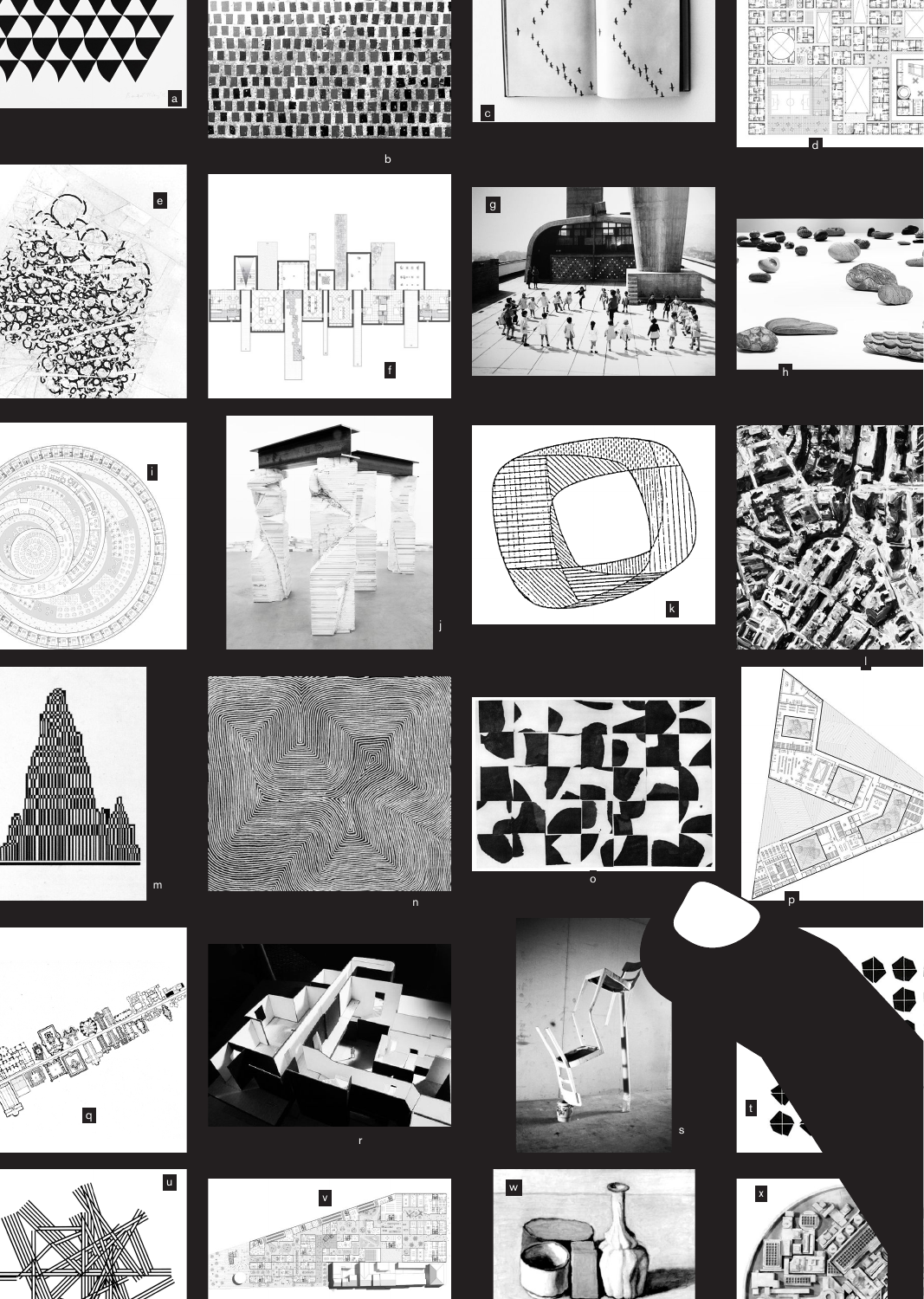



 $\mathbf b$ 



































umai